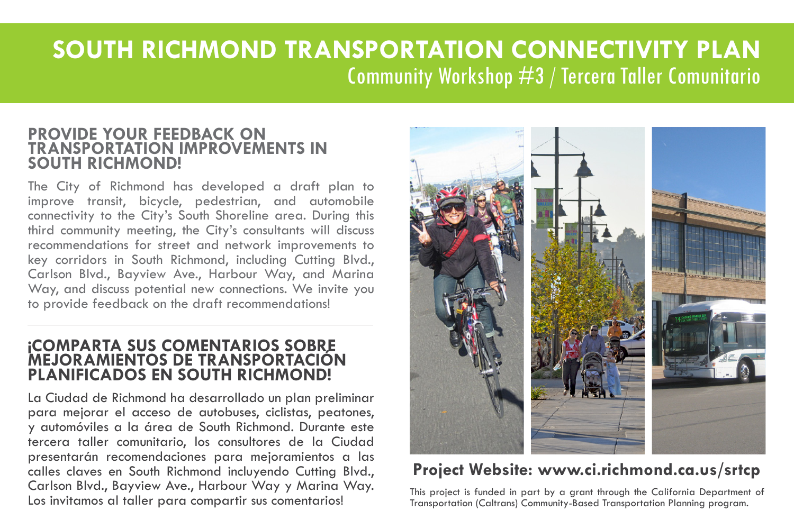# **South Richmond Transportation Connectivity Plan** Community Workshop #3 / Tercera Taller Comunitario

### **Provide your Feedback on TransPORTATION Improvements in South Richmond!**

The City of Richmond has developed a draft plan to improve transit, bicycle, pedestrian, and automobile connectivity to the City's South Shoreline area. During this third community meeting, the City's consultants will discuss recommendations for street and network improvements to key corridors in South Richmond, including Cutting Blvd., Carlson Blvd., Bayview Ave., Harbour Way, and Marina Way, and discuss potential new connections. We invite you to provide feedback on the draft recommendations!

### **¡COMPARTA SUS COMENTARIOS SOBRE MEJORAMIENTOS DE TRANSPORTACIÓN PLANIFICADOS EN SOUTH RICHMOND!**

La Ciudad de Richmond ha desarrollado un plan preliminar para mejorar el acceso de autobuses, ciclistas, peatones, y automóviles a la área de South Richmond. Durante este tercera taller comunitario, los consultores de la Ciudad presentarán recomendaciones para mejoramientos a las calles claves en South Richmond incluyendo Cutting Blvd., Carlson Blvd., Bayview Ave., Harbour Way y Marina Way. Los invitamos al taller para compartir sus comentarios! This project is funded in part by a grant through the California Department of



## **Project Website: www.ci.richmond.ca.us/srtcp**

Transportation (Caltrans) Community-Based Transportation Planning program.